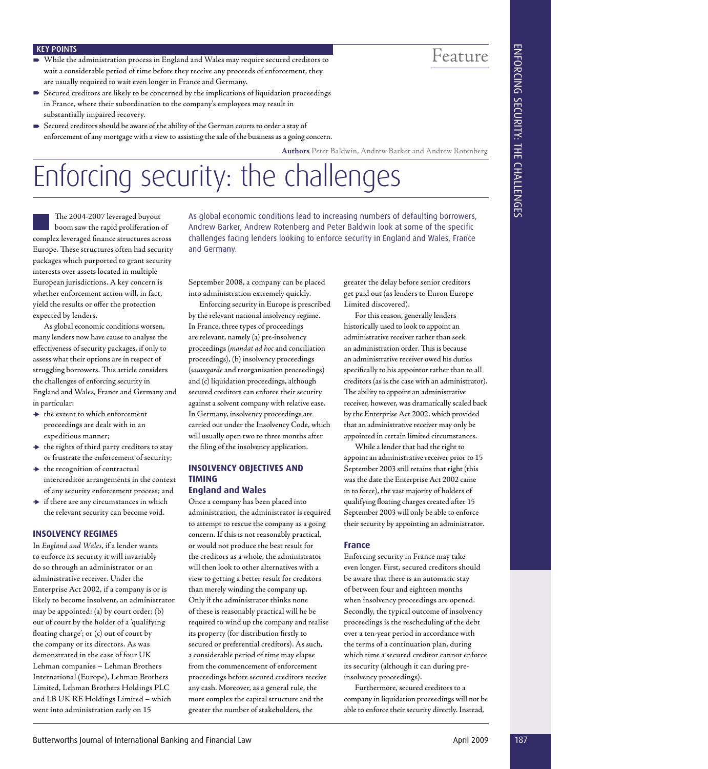#### KEY POINTS

- While the administration process in England and Wales may require secured creditors to wait a considerable period of time before they receive any proceeds of enforcement, they are usually required to wait even longer in France and Germany.
- Secured creditors are likely to be concerned by the implications of liquidation proceedings in France, where their subordination to the company's employees may result in substantially impaired recovery.
- Secured creditors should be aware of the ability of the German courts to order a stay of enforcement of any mortgage with a view to assisting the sale of the business as a going concern.

**Authors** Peter Baldwin, Andrew Barker and Andrew Rotenberg

## Enforcing security: the challenges

The 2004-2007 leveraged buyout boom saw the rapid proliferation of complex leveraged finance structures across Europe. These structures often had security packages which purported to grant security interests over assets located in multiple European jurisdictions. A key concern is whether enforcement action will, in fact, yield the results or offer the protection expected by lenders.

As global economic conditions worsen, many lenders now have cause to analyse the effectiveness of security packages, if only to assess what their options are in respect of struggling borrowers. This article considers the challenges of enforcing security in England and Wales, France and Germany and in particular:

- $\rightarrow$  the extent to which enforcement proceedings are dealt with in an expeditious manner;
- $\rightarrow$  the rights of third party creditors to stay or frustrate the enforcement of security;
- $\rightarrow$  the recognition of contractual intercreditor arrangements in the context of any security enforcement process; and
- $\rightarrow$  if there are any circumstances in which the relevant security can become void.

#### **INSOLVENCY REGIMES**

In *England and Wales*, if a lender wants to enforce its security it will invariably do so through an administrator or an administrative receiver. Under the Enterprise Act 2002, if a company is or is likely to become insolvent, an administrator may be appointed: (a) by court order; (b) out of court by the holder of a 'qualifying floating charge'; or  $(c)$  out of court by the company or its directors. As was demonstrated in the case of four UK Lehman companies – Lehman Brothers International (Europe), Lehman Brothers Limited, Lehman Brothers Holdings PLC and LB UK RE Holdings Limited – which went into administration early on 15

As global economic conditions lead to increasing numbers of defaulting borrowers, Andrew Barker, Andrew Rotenberg and Peter Baldwin look at some of the specific challenges facing lenders looking to enforce security in England and Wales, France and Germany.

September 2008, a company can be placed into administration extremely quickly. Enforcing security in Europe is prescribed

by the relevant national insolvency regime. In France, three types of proceedings are relevant, namely (a) pre-insolvency proceedings (*mandat ad hoc* and conciliation proceedings), (b) insolvency proceedings (*sauvegarde* and reorganisation proceedings) and (c) liquidation proceedings, although secured creditors can enforce their security against a solvent company with relative ease. In Germany, insolvency proceedings are carried out under the Insolvency Code, which will usually open two to three months after the filing of the insolvency application.

#### **INSOLVENCY OBJECTIVES AND TIMING England and Wales**

Once a company has been placed into administration, the administrator is required to attempt to rescue the company as a going concern. If this is not reasonably practical, or would not produce the best result for the creditors as a whole, the administrator will then look to other alternatives with a view to getting a better result for creditors than merely winding the company up. Only if the administrator thinks none of these is reasonably practical will he be required to wind up the company and realise its property (for distribution firstly to secured or preferential creditors). As such, a considerable period of time may elapse from the commencement of enforcement proceedings before secured creditors receive any cash. Moreover, as a general rule, the more complex the capital structure and the greater the number of stakeholders, the

greater the delay before senior creditors get paid out (as lenders to Enron Europe Limited discovered).

For this reason, generally lenders historically used to look to appoint an administrative receiver rather than seek an administration order. This is because an administrative receiver owed his duties specifically to his appointor rather than to all creditors (as is the case with an administrator). The ability to appoint an administrative receiver, however, was dramatically scaled back by the Enterprise Act 2002, which provided that an administrative receiver may only be appointed in certain limited circumstances.

While a lender that had the right to appoint an administrative receiver prior to 15 September 2003 still retains that right (this was the date the Enterprise Act 2002 came in to force), the vast majority of holders of qualifying floating charges created after 15 September 2003 will only be able to enforce their security by appointing an administrator.

#### **France**

Enforcing security in France may take even longer. First, secured creditors should be aware that there is an automatic stay of between four and eighteen months when insolvency proceedings are opened. Secondly, the typical outcome of insolvency proceedings is the rescheduling of the debt over a ten-year period in accordance with the terms of a continuation plan, during which time a secured creditor cannot enforce its security (although it can during preinsolvency proceedings).

Furthermore, secured creditors to a company in liquidation proceedings will not be able to enforce their security directly. Instead,

# ENFORCING SECURITY: THE CHALLENGES ENFORCING SECURITY: THE CHALLENGES

Feature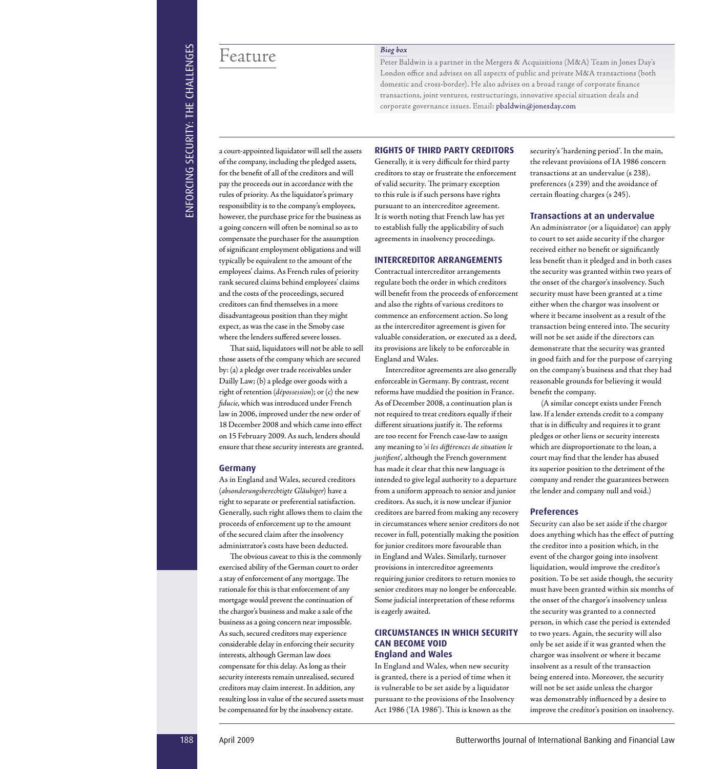Feature

a court-appointed liquidator will sell the assets of the company, including the pledged assets, for the benefit of all of the creditors and will pay the proceeds out in accordance with the rules of priority. As the liquidator's primary responsibility is to the company's employees, however, the purchase price for the business as a going concern will often be nominal so as to compensate the purchaser for the assumption of significant employment obligations and will typically be equivalent to the amount of the employees' claims. As French rules of priority rank secured claims behind employees' claims and the costs of the proceedings, secured creditors can find themselves in a more disadvantageous position than they might expect, as was the case in the Smoby case where the lenders suffered severe losses.

That said, liquidators will not be able to sell those assets of the company which are secured by: (a) a pledge over trade receivables under Dailly Law; (b) a pledge over goods with a right of retention (*dépossession*); or (c) the new *fiducie*, which was introduced under French law in 2006, improved under the new order of 18 December 2008 and which came into effect on 15 February 2009. As such, lenders should ensure that these security interests are granted.

#### **Germany**

As in England and Wales, secured creditors (*absonderungsberechtigte Gläubiger* ) have a ) have a right to separate or preferential satisfaction. Generally, such right allows them to claim the proceeds of enforcement up to the amount of the secured claim after the insolvency administrator's costs have been deducted.

The obvious caveat to this is the commonly exercised ability of the German court to order a stay of enforcement of any mortgage. The rationale for this is that enforcement of any mortgage would prevent the continuation of the chargor's business and make a sale of the business as a going concern near impossible. As such, secured creditors may experience considerable delay in enforcing their security interests, although German law does compensate for this delay. As long as their security interests remain unrealised, secured creditors may claim interest. In addition, any resulting loss in value of the secured assets must be compensated for by the insolvency estate.

#### **RIGHTS OF THIRD PARTY CREDITORS**

corporate governance issues. Email: pbaldwin@jonesday.com

Peter Baldwin is a partner in the Mergers & Acquisitions (M&A) Team in Jones Day's London office and advises on all aspects of public and private M&A transactions (both domestic and cross-border). He also advises on a broad range of corporate finance transactions, joint ventures, restructurings, innovative special situation deals and

*Biog box*

Generally, it is very difficult for third party creditors to stay or frustrate the enforcement of valid security. The primary exception to this rule is if such persons have rights pursuant to an intercreditor agreement. It is worth noting that French law has yet to establish fully the applicability of such agreements in insolvency proceedings.

#### **INTERCREDITOR ARRANGEMENTS**

Contractual intercreditor arrangements regulate both the order in which creditors will benefit from the proceeds of enforcement and also the rights of various creditors to commence an enforcement action. So long as the intercreditor agreement is given for valuable consideration, or executed as a deed, its provisions are likely to be enforceable in England and Wales.

**188 April 2009** Butter and the symptom in the symptom of the symptom in the symptom in the symptom in the symptom in the symptom in the symptom in the symptom in the symptom in the symptom in the symptom in the symptom Intercreditor agreements are also generally enforceable in Germany. By contrast, recent reforms have muddied the position in France. As of December 2008, a continuation plan is not required to treat creditors equally if their different situations justify it. The reforms are too recent for French case-law to assign any meaning to ' *si les diff érences de situation le si les différences de situation le* justifient', although the French government has made it clear that this new language is intended to give legal authority to a departure from a uniform approach to senior and junior creditors. As such, it is now unclear if junior creditors are barred from making any recovery in circumstances where senior creditors do not recover in full, potentially making the position for junior creditors more favourable than in England and Wales. Similarly, turnover provisions in intercreditor agreements requiring junior creditors to return monies to senior creditors may no longer be enforceable. Some judicial interpretation of these reforms is eagerly awaited.

#### **CIRCUMSTANCES IN WHICH SECURITY CAN BECOME VOID England and Wales**

In England and Wales, when new security is granted, there is a period of time when it is vulnerable to be set aside by a liquidator pursuant to the provisions of the Insolvency Act 1986 ('IA 1986'). This is known as the

security's 'hardening period'. In the main, the relevant provisions of IA 1986 concern transactions at an undervalue (s 238), preferences (s 239) and the avoidance of certain floating charges (s 245).

#### **Transactions at an undervalue**

An administrator (or a liquidator) can apply to court to set aside security if the chargor received either no benefit or significantly less benefit than it pledged and in both cases the security was granted within two years of the onset of the chargor's insolvency. Such security must have been granted at a time either when the chargor was insolvent or where it became insolvent as a result of the transaction being entered into. The security will not be set aside if the directors can demonstrate that the security was granted in good faith and for the purpose of carrying on the company's business and that they had reasonable grounds for believing it would benefit the company.

(A similar concept exists under French law. If a lender extends credit to a company that is in difficulty and requires it to grant pledges or other liens or security interests which are disproportionate to the loan, a court may find that the lender has abused its superior position to the detriment of the company and render the guarantees between the lender and company null and void.)

#### **Preferences**

Security can also be set aside if the chargor does anything which has the effect of putting the creditor into a position which, in the event of the chargor going into insolvent liquidation, would improve the creditor's position. To be set aside though, the security must have been granted within six months of the onset of the chargor's insolvency unless the security was granted to a connected person, in which case the period is extended to two years. Again, the security will also only be set aside if it was granted when the chargor was insolvent or where it became insolvent as a result of the transaction being entered into. Moreover, the security will not be set aside unless the chargor was demonstrably influenced by a desire to improve the creditor's position on insolvency.